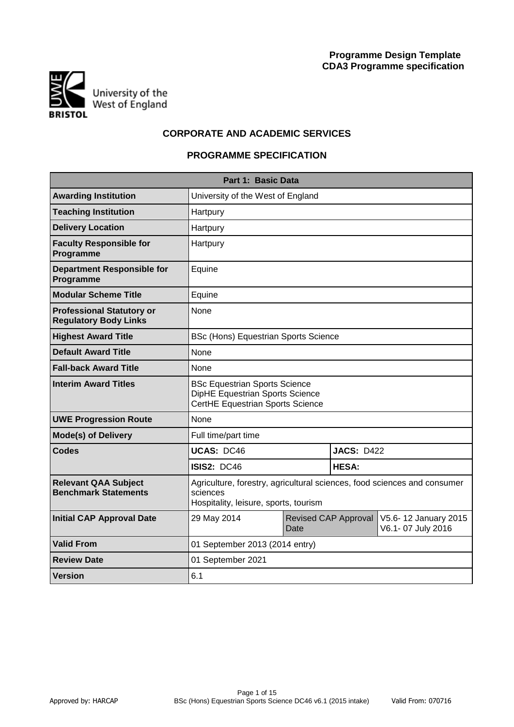

# **CORPORATE AND ACADEMIC SERVICES**

# **PROGRAMME SPECIFICATION**

|                                                                  | Part 1: Basic Data                                                                                                            |      |                      |                                           |  |  |  |  |  |  |  |
|------------------------------------------------------------------|-------------------------------------------------------------------------------------------------------------------------------|------|----------------------|-------------------------------------------|--|--|--|--|--|--|--|
| <b>Awarding Institution</b>                                      | University of the West of England                                                                                             |      |                      |                                           |  |  |  |  |  |  |  |
| <b>Teaching Institution</b>                                      | Hartpury                                                                                                                      |      |                      |                                           |  |  |  |  |  |  |  |
| <b>Delivery Location</b>                                         | Hartpury                                                                                                                      |      |                      |                                           |  |  |  |  |  |  |  |
| <b>Faculty Responsible for</b><br>Programme                      | Hartpury                                                                                                                      |      |                      |                                           |  |  |  |  |  |  |  |
| <b>Department Responsible for</b><br>Programme                   | Equine                                                                                                                        |      |                      |                                           |  |  |  |  |  |  |  |
| <b>Modular Scheme Title</b>                                      | Equine                                                                                                                        |      |                      |                                           |  |  |  |  |  |  |  |
| <b>Professional Statutory or</b><br><b>Regulatory Body Links</b> | None                                                                                                                          |      |                      |                                           |  |  |  |  |  |  |  |
| <b>Highest Award Title</b>                                       | <b>BSc (Hons) Equestrian Sports Science</b>                                                                                   |      |                      |                                           |  |  |  |  |  |  |  |
| <b>Default Award Title</b>                                       | None                                                                                                                          |      |                      |                                           |  |  |  |  |  |  |  |
| <b>Fall-back Award Title</b>                                     | None                                                                                                                          |      |                      |                                           |  |  |  |  |  |  |  |
| <b>Interim Award Titles</b>                                      | <b>BSc Equestrian Sports Science</b><br>DipHE Equestrian Sports Science<br>CertHE Equestrian Sports Science                   |      |                      |                                           |  |  |  |  |  |  |  |
| <b>UWE Progression Route</b>                                     | None                                                                                                                          |      |                      |                                           |  |  |  |  |  |  |  |
| <b>Mode(s) of Delivery</b>                                       | Full time/part time                                                                                                           |      |                      |                                           |  |  |  |  |  |  |  |
| <b>Codes</b>                                                     | <b>UCAS: DC46</b>                                                                                                             |      | <b>JACS: D422</b>    |                                           |  |  |  |  |  |  |  |
|                                                                  | <b>ISIS2: DC46</b>                                                                                                            |      | <b>HESA:</b>         |                                           |  |  |  |  |  |  |  |
| <b>Relevant QAA Subject</b><br><b>Benchmark Statements</b>       | Agriculture, forestry, agricultural sciences, food sciences and consumer<br>sciences<br>Hospitality, leisure, sports, tourism |      |                      |                                           |  |  |  |  |  |  |  |
| <b>Initial CAP Approval Date</b>                                 | 29 May 2014                                                                                                                   | Date | Revised CAP Approval | V5.6-12 January 2015<br>V6.1-07 July 2016 |  |  |  |  |  |  |  |
| <b>Valid From</b>                                                | 01 September 2013 (2014 entry)                                                                                                |      |                      |                                           |  |  |  |  |  |  |  |
| <b>Review Date</b>                                               | 01 September 2021                                                                                                             |      |                      |                                           |  |  |  |  |  |  |  |
| <b>Version</b>                                                   | 6.1                                                                                                                           |      |                      |                                           |  |  |  |  |  |  |  |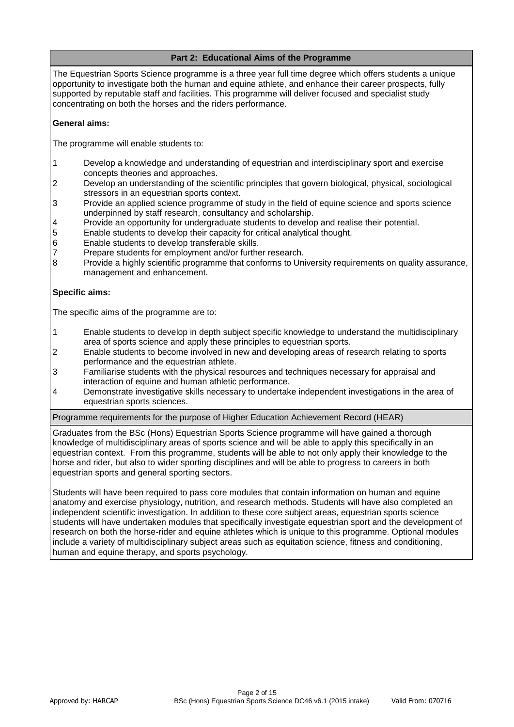# **Part 2: Educational Aims of the Programme**

The Equestrian Sports Science programme is a three year full time degree which offers students a unique opportunity to investigate both the human and equine athlete, and enhance their career prospects, fully supported by reputable staff and facilities. This programme will deliver focused and specialist study concentrating on both the horses and the riders performance.

## **General aims:**

The programme will enable students to:

- 1 Develop a knowledge and understanding of equestrian and interdisciplinary sport and exercise concepts theories and approaches.
- 2 Develop an understanding of the scientific principles that govern biological, physical, sociological stressors in an equestrian sports context.
- 3 Provide an applied science programme of study in the field of equine science and sports science underpinned by staff research, consultancy and scholarship.
- 4 Provide an opportunity for undergraduate students to develop and realise their potential.
- 5 Enable students to develop their capacity for critical analytical thought.
- 6 Enable students to develop transferable skills.
- 7 Prepare students for employment and/or further research.
- 8 Provide a highly scientific programme that conforms to University requirements on quality assurance, management and enhancement.

## **Specific aims:**

The specific aims of the programme are to:

- 1 Enable students to develop in depth subject specific knowledge to understand the multidisciplinary area of sports science and apply these principles to equestrian sports.
- 2 Enable students to become involved in new and developing areas of research relating to sports performance and the equestrian athlete.
- 3 Familiarise students with the physical resources and techniques necessary for appraisal and interaction of equine and human athletic performance.
- 4 Demonstrate investigative skills necessary to undertake independent investigations in the area of equestrian sports sciences.

Programme requirements for the purpose of Higher Education Achievement Record (HEAR)

Graduates from the BSc (Hons) Equestrian Sports Science programme will have gained a thorough knowledge of multidisciplinary areas of sports science and will be able to apply this specifically in an equestrian context. From this programme, students will be able to not only apply their knowledge to the horse and rider, but also to wider sporting disciplines and will be able to progress to careers in both equestrian sports and general sporting sectors.

Students will have been required to pass core modules that contain information on human and equine anatomy and exercise physiology, nutrition, and research methods. Students will have also completed an independent scientific investigation. In addition to these core subject areas, equestrian sports science students will have undertaken modules that specifically investigate equestrian sport and the development of research on both the horse-rider and equine athletes which is unique to this programme. Optional modules include a variety of multidisciplinary subject areas such as equitation science, fitness and conditioning, human and equine therapy, and sports psychology.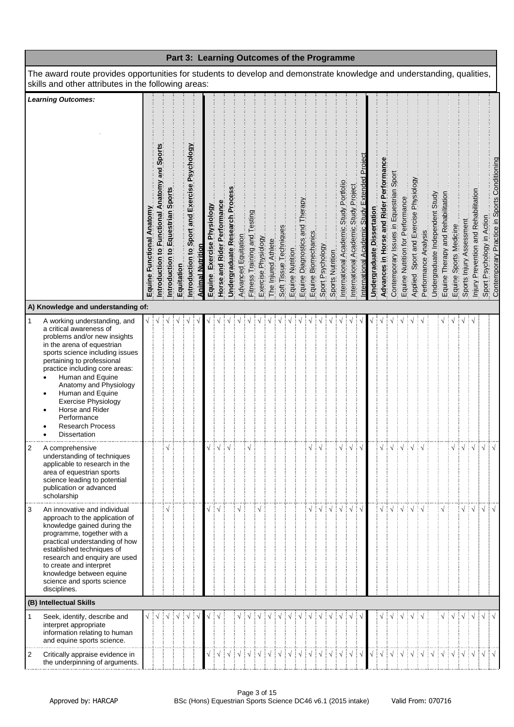|                |                                                                                                                                                                                                                                                                                                                                                                                                            |                           |                                                     |                                   |            |                                               |                         |                            |                             |                                |                     |                              |                     |                     |                            |                  |                                |                     | Part 3: Learning Outcomes of the Programme |                  |                                        |                                      |                                              |                            |                                        |                                         |                                  |                                                                 |                                 |                                   |                        |                          |                                      |            |                                                                            |
|----------------|------------------------------------------------------------------------------------------------------------------------------------------------------------------------------------------------------------------------------------------------------------------------------------------------------------------------------------------------------------------------------------------------------------|---------------------------|-----------------------------------------------------|-----------------------------------|------------|-----------------------------------------------|-------------------------|----------------------------|-----------------------------|--------------------------------|---------------------|------------------------------|---------------------|---------------------|----------------------------|------------------|--------------------------------|---------------------|--------------------------------------------|------------------|----------------------------------------|--------------------------------------|----------------------------------------------|----------------------------|----------------------------------------|-----------------------------------------|----------------------------------|-----------------------------------------------------------------|---------------------------------|-----------------------------------|------------------------|--------------------------|--------------------------------------|------------|----------------------------------------------------------------------------|
|                | The award route provides opportunities for students to develop and demonstrate knowledge and understanding, qualities,<br>skills and other attributes in the following areas:                                                                                                                                                                                                                              |                           |                                                     |                                   |            |                                               |                         |                            |                             |                                |                     |                              |                     |                     |                            |                  |                                |                     |                                            |                  |                                        |                                      |                                              |                            |                                        |                                         |                                  |                                                                 |                                 |                                   |                        |                          |                                      |            |                                                                            |
|                | <b>Learning Outcomes:</b>                                                                                                                                                                                                                                                                                                                                                                                  | Equine Functional Anatomy | Sports<br>and<br>Introduction to Functional Anatomy | Introduction to Equestrian Sports | Equitation | Introduction to Sport and Exercise Psychology | <b>Animal Nutrition</b> | Equine Exercise Physiology | Horse and Rider Performance | Undergraduate Research Process | Advanced Equitation | Fitness Training and Testing | Exercise Physiology | The Injured Athlete | Soft Tissue Techniques     | Equine Nutrition | Equine Diagnostics and Therapy | Equine Biomechanics | Sport Psychology                           | Sports Nutrition | International Academic Study Portfolio | International Academic Study Project | nternational Academic Study Extended Project | Undergraduate Dissertation | Advances in Horse and Rider Performanc | Contemporary Issues in Equestrian Sport | Equine Nutrition for Performance | Applied, Sport and Exercise Physiology.<br>Performance Analysis | Undergraduate Independent Study | Equine Therapy and Rehabilitation | Equine Sports Medicine | Sports Injury Assessment | Injury Prevention and Rehabilitation |            | Sport Psychology in Action<br>Contemporary Practice in Sports Conditioning |
|                | A) Knowledge and understanding of:                                                                                                                                                                                                                                                                                                                                                                         |                           |                                                     |                                   |            |                                               |                         |                            |                             |                                |                     |                              |                     |                     |                            |                  |                                |                     |                                            |                  |                                        |                                      |                                              |                            |                                        |                                         |                                  |                                                                 |                                 |                                   |                        |                          |                                      |            |                                                                            |
| $\mathbf{1}$   | A working understanding, and<br>a critical awareness of<br>problems and/or new insights<br>in the arena of equestrian<br>sports science including issues<br>pertaining to professional<br>practice including core areas:<br>Human and Equine<br>Anatomy and Physiology<br>Human and Equine<br>٠<br><b>Exercise Physiology</b><br>Horse and Rider<br>Performance<br><b>Research Process</b><br>Dissertation |                           |                                                     |                                   |            |                                               |                         |                            |                             |                                |                     |                              |                     |                     |                            |                  |                                |                     |                                            |                  |                                        |                                      |                                              |                            |                                        |                                         |                                  |                                                                 |                                 |                                   |                        |                          |                                      |            |                                                                            |
| $\overline{c}$ | A comprehensive<br>understanding of techniques<br>applicable to research in the<br>area of equestrian sports<br>science leading to potential<br>publication or advanced<br>scholarship                                                                                                                                                                                                                     |                           |                                                     |                                   |            |                                               |                         |                            |                             | ! √                            |                     |                              |                     |                     |                            |                  |                                |                     |                                            |                  |                                        |                                      |                                              |                            |                                        |                                         |                                  |                                                                 |                                 |                                   |                        |                          |                                      | $\sqrt{ }$ |                                                                            |
| 3              | An innovative and individual<br>approach to the application of<br>knowledge gained during the<br>programme, together with a<br>practical understanding of how<br>established techniques of<br>research and enquiry are used<br>to create and interpret<br>knowledge between equine<br>science and sports science<br>disciplines.<br>(B) Intellectual Skills                                                |                           |                                                     |                                   |            |                                               |                         |                            |                             |                                |                     |                              |                     |                     |                            |                  |                                |                     |                                            |                  |                                        |                                      | $\sqrt{}$                                    |                            |                                        |                                         |                                  |                                                                 |                                 |                                   |                        |                          | ÷ν                                   | $\sqrt{ }$ |                                                                            |
|                | Seek, identify, describe and                                                                                                                                                                                                                                                                                                                                                                               |                           |                                                     |                                   |            |                                               |                         |                            |                             |                                |                     |                              |                     |                     |                            |                  |                                |                     |                                            |                  |                                        |                                      |                                              |                            |                                        |                                         |                                  |                                                                 |                                 |                                   |                        |                          |                                      | $\sqrt{ }$ |                                                                            |
|                | interpret appropriate<br>information relating to human<br>and equine sports science.                                                                                                                                                                                                                                                                                                                       |                           |                                                     |                                   |            |                                               |                         |                            |                             |                                |                     |                              |                     |                     |                            |                  |                                |                     |                                            |                  |                                        |                                      |                                              |                            |                                        |                                         |                                  |                                                                 |                                 |                                   |                        |                          |                                      |            |                                                                            |
| 2              | Critically appraise evidence in<br>the underpinning of arguments.                                                                                                                                                                                                                                                                                                                                          |                           |                                                     |                                   |            |                                               |                         |                            | ┊√                          |                                |                     |                              |                     |                     | ┆ <b>ヽ</b> ┆ヽ┆ヽ┆ヽ┆ヽ┆ヽ┆ヽ┆ヽ┆ |                  |                                |                     |                                            |                  |                                        |                                      |                                              |                            | $\frac{1}{2}$                          | $\sqrt{ }$                              |                                  |                                                                 |                                 |                                   |                        |                          |                                      |            |                                                                            |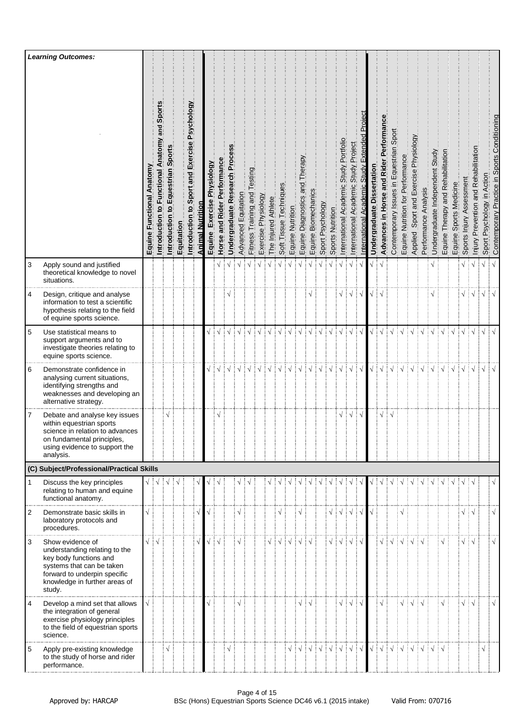|                | <b>Learning Outcomes:</b>                                                                                                                                                           |                                        |                                                    |                                                |            |                                                  |                  |                                  |                                |                             |                     |                                |                     |                     |                        |                  |                                         |                     |                  |                                        |                                            |                                               |                                                      |                                  |                                                         |                                         |                                  |                                          |                         |                                 |                                   |                        |                                   |                                                 |                               |                                              |
|----------------|-------------------------------------------------------------------------------------------------------------------------------------------------------------------------------------|----------------------------------------|----------------------------------------------------|------------------------------------------------|------------|--------------------------------------------------|------------------|----------------------------------|--------------------------------|-----------------------------|---------------------|--------------------------------|---------------------|---------------------|------------------------|------------------|-----------------------------------------|---------------------|------------------|----------------------------------------|--------------------------------------------|-----------------------------------------------|------------------------------------------------------|----------------------------------|---------------------------------------------------------|-----------------------------------------|----------------------------------|------------------------------------------|-------------------------|---------------------------------|-----------------------------------|------------------------|-----------------------------------|-------------------------------------------------|-------------------------------|----------------------------------------------|
|                |                                                                                                                                                                                     | Equine Functional Anatomy              | and Sport<br>Anatomy<br>Introduction to Functional | Equestrian Sport<br>$\mathbf{S}$<br>Introducti | Equitation | to Sport and Exercise Psychology<br>Introduction | Animal Nutrition | Physiology<br>Exercise<br>Equine | and Rider Performance<br>Horse | Undergraduate Research Proc | Advanced Equitation | esting<br>Fitness Training and | Exercise Physiology | The Injured Athlete | Soft Tissue Techniques | Equine Nutrition | herapy<br>pue<br>Diagnostics<br>Equine. | Equine Biomechanics | Sport Psychology | Sports Nutrition                       | Portfoli<br>Study<br>nternational Academic | Project<br>Study.<br>Academic<br>nternational | Projec<br>Extended<br>Academic Study<br>nternational | ssertation<br>ه<br>Undergraduate | Advances in Horse and Rider Performan                   | Contemporary Issues in Equestrian Sport | Equine Nutrition for Performance | Sport and Exercise Physiology<br>Applied | Analysis<br>Performance | Undergraduate Independent Study | Equine Therapy and Rehabilitation | Equine Sports Medicine | ssessment<br>Sports Injury A      | Prevention and Rehabilitation<br><u>Miniury</u> | Psychology in Action<br>Sport | Contemporary Practice in Sports Conditioning |
| 3              | Apply sound and justified<br>theoretical knowledge to novel<br>situations.<br>.                                                                                                     |                                        |                                                    |                                                |            |                                                  |                  |                                  |                                |                             | $\sqrt{ }$          |                                |                     |                     | $\sqrt{}$              | $\sqrt{ }$       |                                         |                     |                  |                                        | $\sqrt{ }$                                 |                                               |                                                      |                                  |                                                         |                                         |                                  |                                          |                         |                                 |                                   |                        | $\sqrt{}$                         | ⊟ √                                             | $\sqrt{}$                     | $\sqrt{ }$                                   |
| 4              | Design, critique and analyse<br>information to test a scientific<br>hypothesis relating to the field<br>of equine sports science.                                                   |                                        |                                                    |                                                |            |                                                  |                  |                                  |                                |                             |                     |                                |                     |                     |                        |                  |                                         |                     |                  |                                        |                                            | $\sqrt{ }$                                    | ∶√                                                   |                                  |                                                         |                                         |                                  |                                          |                         |                                 |                                   |                        | √ ∔√                              |                                                 | $\sqrt{}$                     | $\sqrt{ }$                                   |
| 5              | Use statistical means to<br>support arguments and to<br>investigate theories relating to<br>equine sports science.                                                                  |                                        |                                                    |                                                |            |                                                  |                  |                                  |                                |                             |                     |                                |                     |                     |                        |                  |                                         |                     |                  |                                        |                                            |                                               |                                                      |                                  |                                                         |                                         |                                  |                                          |                         |                                 |                                   |                        |                                   | $\sqrt{ }$                                      | $\sqrt{2}$                    | $\sqrt{ }$                                   |
| 6              | Demonstrate confidence in<br>analysing current situations,<br>identifying strengths and<br>weaknesses and developing an<br>alternative strategy.                                    |                                        |                                                    |                                                |            |                                                  |                  |                                  | √ ∔√                           | ┆√                          | ┊√                  | $\sqrt{ }$                     |                     |                     | $\sqrt{ }$             | $\sqrt{ }$       | $\sqrt{ }$                              | ∔ √                 | ÷ν               | $\frac{1}{2}$                          | ‡√                                         | ┆√                                            | ┊√                                                   | $\sqrt{ }$                       | ┆√                                                      | $\sqrt{ }$                              | $\sqrt{ }$                       |                                          |                         | $\sqrt{ }$                      | $\sqrt{ }$                        | $\sqrt{ }$             | $\mathbf{1} \vee \mathbf{1} \vee$ |                                                 | $\sqrt{}$                     | $\sqrt{}$                                    |
| 7              | Debate and analyse key issues<br>within equestrian sports<br>science in relation to advances<br>on fundamental principles,<br>using evidence to support the<br>analysis.            |                                        |                                                    |                                                |            |                                                  |                  |                                  | ٦                              |                             |                     |                                |                     |                     |                        |                  |                                         |                     |                  |                                        | V                                          | ┊√                                            | ∶√                                                   |                                  | $\sqrt{}$                                               | N                                       |                                  |                                          |                         |                                 |                                   |                        |                                   |                                                 |                               |                                              |
|                | (C) Subject/Professional/Practical Skills                                                                                                                                           |                                        |                                                    |                                                |            |                                                  |                  |                                  |                                |                             |                     |                                |                     |                     |                        |                  |                                         |                     |                  |                                        |                                            |                                               |                                                      |                                  |                                                         |                                         |                                  |                                          |                         |                                 |                                   |                        |                                   |                                                 |                               |                                              |
| $\mathbf{1}$   | Discuss the key principles<br>relating to human and equine<br>functional anatomy.                                                                                                   | $\sqrt{\frac{1}{2}}\sqrt{\frac{1}{2}}$ |                                                    | $\sqrt{}$                                      | ∄√         |                                                  |                  |                                  |                                |                             |                     |                                |                     |                     |                        |                  |                                         |                     |                  |                                        |                                            |                                               |                                                      |                                  |                                                         |                                         |                                  |                                          |                         |                                 |                                   |                        |                                   | ÷√                                              |                               |                                              |
| 2              | Demonstrate basic skills in<br>laboratory protocols and<br>procedures.                                                                                                              | $\sqrt{}$                              |                                                    |                                                |            |                                                  |                  |                                  |                                |                             |                     |                                |                     |                     |                        |                  |                                         |                     |                  | $\sqrt{\frac{1}{2}}\sqrt{\frac{1}{2}}$ |                                            | ┊√                                            | ┆√                                                   |                                  |                                                         |                                         |                                  |                                          |                         |                                 |                                   |                        | $\sqrt{2}$                        |                                                 |                               | $\sqrt{}$                                    |
| 3              | Show evidence of<br>understanding relating to the<br>key body functions and<br>systems that can be taken<br>forward to underpin specific<br>knowledge in further areas of<br>study. | $\sqrt{2}$                             |                                                    |                                                |            |                                                  |                  |                                  | √ i √                          |                             |                     |                                |                     |                     |                        |                  |                                         |                     |                  | √ i √                                  |                                            | $\sqrt{ }$                                    | ┊√                                                   |                                  | √ ∔                                                     | $\sqrt{ }$                              |                                  |                                          |                         |                                 |                                   |                        | $\sqrt{2}$                        |                                                 |                               | $\sqrt{ }$                                   |
| $\overline{4}$ | Develop a mind set that allows<br>the integration of general<br>exercise physiology principles<br>to the field of equestrian sports<br>science.                                     | $\sqrt{ }$                             |                                                    |                                                |            |                                                  |                  |                                  |                                |                             |                     |                                |                     |                     |                        |                  | $\sqrt{}$                               | ં√                  |                  |                                        | V                                          | ŧν                                            | ÷ν                                                   |                                  | $\sqrt{}$                                               |                                         | $\sqrt{}$                        | $\sqrt{ }$                               | ∶√                      |                                 |                                   |                        | $\sqrt{2}$                        |                                                 |                               | $\sqrt{}$                                    |
| 5              | Apply pre-existing knowledge<br>to the study of horse and rider<br>performance.                                                                                                     |                                        |                                                    |                                                |            |                                                  |                  |                                  |                                |                             |                     |                                |                     |                     |                        |                  |                                         | ┊√                  |                  | $\frac{1}{2}$                          | ों √                                       | ┆√                                            | $\frac{1}{2}$ $\sqrt{2}$                             | $\sqrt{ }$                       | $\frac{1}{2}$ $\sqrt{\frac{1}{2}}$ $\sqrt{\frac{1}{2}}$ |                                         | ┊√                               | $\frac{1}{2}$ $\sqrt{\frac{1}{2}}$       |                         | ┊√┊√                            |                                   |                        |                                   |                                                 | √                             |                                              |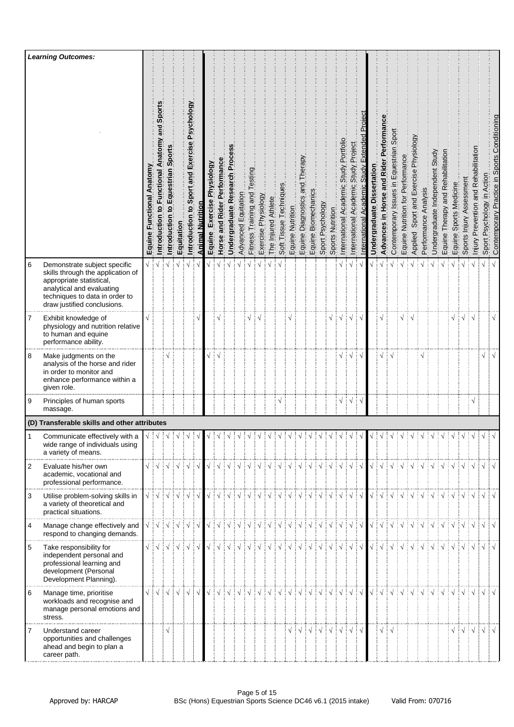|                | <b>Learning Outcomes:</b>                                                                                                                                                                   |                                        |                                                                                                                                                                                                                                                                                                                                                                                                                                                                                         |                                    |               |                                               |                  |                               |                                   |                                  |                                                                                                                                                                                                                                                                                                                                                                                                                                                                                                                                                          |                      |                     |                     |                        |                  |                                      |                          |                                                                                                               |                  |                                              |                                                         |                                               |                                  |                                                          |                                         |                                  |                                          |                         |                                 |                                   |                            |                                                                                                                                                                                                                                                                                                                                                                                                                                                                                                                                                      |                                               |                            |                                              |
|----------------|---------------------------------------------------------------------------------------------------------------------------------------------------------------------------------------------|----------------------------------------|-----------------------------------------------------------------------------------------------------------------------------------------------------------------------------------------------------------------------------------------------------------------------------------------------------------------------------------------------------------------------------------------------------------------------------------------------------------------------------------------|------------------------------------|---------------|-----------------------------------------------|------------------|-------------------------------|-----------------------------------|----------------------------------|----------------------------------------------------------------------------------------------------------------------------------------------------------------------------------------------------------------------------------------------------------------------------------------------------------------------------------------------------------------------------------------------------------------------------------------------------------------------------------------------------------------------------------------------------------|----------------------|---------------------|---------------------|------------------------|------------------|--------------------------------------|--------------------------|---------------------------------------------------------------------------------------------------------------|------------------|----------------------------------------------|---------------------------------------------------------|-----------------------------------------------|----------------------------------|----------------------------------------------------------|-----------------------------------------|----------------------------------|------------------------------------------|-------------------------|---------------------------------|-----------------------------------|----------------------------|------------------------------------------------------------------------------------------------------------------------------------------------------------------------------------------------------------------------------------------------------------------------------------------------------------------------------------------------------------------------------------------------------------------------------------------------------------------------------------------------------------------------------------------------------|-----------------------------------------------|----------------------------|----------------------------------------------|
|                |                                                                                                                                                                                             | Anatomy<br>Functional<br><b>Equine</b> | and Sport<br>Introduction to Functional Anatom                                                                                                                                                                                                                                                                                                                                                                                                                                          | Sport<br>Equestrian<br>Introductio | Equitation    | Introduction to Sport and Exercise Psychology | Animal Nutrition | Exercise Physiology<br>Equine | Performance<br>Rider<br>Horse and | Proces<br>Undergraduate Research | Advanced Equitation                                                                                                                                                                                                                                                                                                                                                                                                                                                                                                                                      | Fitness Training and | Exercise Physiology | The Injured Athlete | Soft Tissue Techniques | Equine Nutrition | Therapy<br>pue<br>Equine Diagnostics | Biomechanics<br>Equine I | Sport Psychology                                                                                              | Sports Nutrition | Portfolio<br>Study<br>International Academic | Project<br>Study I<br>Academic<br>International         | Fxtended<br>Study<br>Academic<br>nternational | ssertation<br>ة<br>Undergraduate | Advances in Horse and Rider Performan                    | Contemporary Issues in Equestrian Sport | Equine Nutrition for Performance | Sport and Exercise Physiology<br>Applied | Analysis<br>Performance | Undergraduate Independent Study | Equine Therapy and Rehabilitation | Sports Medicine<br>Equine? | Sports Injury Assessment                                                                                                                                                                                                                                                                                                                                                                                                                                                                                                                             | tation<br>Prevention and Rehabilit<br>Injury. | Sport Psychology in Action | Contemporary Practice in Sports Conditioning |
| $\,6\,$        | Demonstrate subject specific<br>skills through the application of<br>appropriate statistical,<br>analytical and evaluating<br>techniques to data in order to<br>draw justified conclusions. | $\sqrt{ }$                             |                                                                                                                                                                                                                                                                                                                                                                                                                                                                                         |                                    |               |                                               |                  |                               |                                   |                                  |                                                                                                                                                                                                                                                                                                                                                                                                                                                                                                                                                          |                      |                     |                     |                        |                  |                                      |                          |                                                                                                               |                  |                                              |                                                         |                                               |                                  |                                                          |                                         |                                  |                                          |                         |                                 |                                   |                            |                                                                                                                                                                                                                                                                                                                                                                                                                                                                                                                                                      |                                               | $\sqrt{}$                  | $\sqrt{ }$                                   |
| 7              | Exhibit knowledge of<br>physiology and nutrition relative<br>to human and equine<br>performance ability.                                                                                    |                                        |                                                                                                                                                                                                                                                                                                                                                                                                                                                                                         |                                    |               |                                               |                  |                               |                                   |                                  |                                                                                                                                                                                                                                                                                                                                                                                                                                                                                                                                                          | √                    |                     |                     |                        |                  |                                      |                          |                                                                                                               | √                | $\mathbf \lambda$                            | V                                                       | $\sqrt{}$                                     |                                  | $\sqrt{}$                                                |                                         | √                                |                                          |                         |                                 |                                   | V                          | ┊√┊√                                                                                                                                                                                                                                                                                                                                                                                                                                                                                                                                                 |                                               |                            | $\sqrt{}$                                    |
| 8              | Make judgments on the<br>analysis of the horse and rider<br>in order to monitor and<br>enhance performance within a<br>given role.                                                          |                                        |                                                                                                                                                                                                                                                                                                                                                                                                                                                                                         |                                    |               |                                               |                  |                               |                                   |                                  |                                                                                                                                                                                                                                                                                                                                                                                                                                                                                                                                                          |                      |                     |                     |                        |                  |                                      |                          |                                                                                                               |                  |                                              |                                                         |                                               |                                  |                                                          |                                         |                                  |                                          |                         |                                 |                                   |                            |                                                                                                                                                                                                                                                                                                                                                                                                                                                                                                                                                      |                                               | $\sqrt{}$                  |                                              |
| 9              | Principles of human sports<br>massage.                                                                                                                                                      |                                        |                                                                                                                                                                                                                                                                                                                                                                                                                                                                                         |                                    |               |                                               |                  |                               |                                   |                                  |                                                                                                                                                                                                                                                                                                                                                                                                                                                                                                                                                          |                      |                     |                     | $\sqrt{}$              |                  |                                      |                          |                                                                                                               |                  | $\sqrt{}$                                    | ∶√                                                      | ∔√                                            |                                  |                                                          |                                         |                                  |                                          |                         |                                 |                                   |                            |                                                                                                                                                                                                                                                                                                                                                                                                                                                                                                                                                      | $\sqrt{}$                                     |                            |                                              |
|                | (D) Transferable skills and other attributes                                                                                                                                                |                                        |                                                                                                                                                                                                                                                                                                                                                                                                                                                                                         |                                    |               |                                               |                  |                               |                                   |                                  |                                                                                                                                                                                                                                                                                                                                                                                                                                                                                                                                                          |                      |                     |                     |                        |                  |                                      |                          |                                                                                                               |                  |                                              |                                                         |                                               |                                  |                                                          |                                         |                                  |                                          |                         |                                 |                                   |                            |                                                                                                                                                                                                                                                                                                                                                                                                                                                                                                                                                      |                                               |                            |                                              |
|                | Communicate effectively with a<br>wide range of individuals using<br>a variety of means.                                                                                                    |                                        |                                                                                                                                                                                                                                                                                                                                                                                                                                                                                         |                                    | $\frac{1}{2}$ |                                               |                  |                               |                                   |                                  |                                                                                                                                                                                                                                                                                                                                                                                                                                                                                                                                                          |                      |                     |                     | $\frac{1}{2}$          | $\sqrt{ }$       |                                      |                          |                                                                                                               | $\frac{1}{2}$    |                                              |                                                         |                                               |                                  |                                                          |                                         |                                  |                                          |                         | $\frac{1}{2}$                   | $\frac{1}{2}$                     | $\frac{1}{2}$              | $\frac{1}{2}$                                                                                                                                                                                                                                                                                                                                                                                                                                                                                                                                        |                                               |                            |                                              |
| $\overline{2}$ | Evaluate his/her own<br>academic, vocational and<br>professional performance.                                                                                                               |                                        | $\begin{array}{c} \sqrt{\frac{1}{2}} & \sqrt{\frac{1}{2}} & \sqrt{\frac{1}{2}} & \sqrt{\frac{1}{2}} & \sqrt{\frac{1}{2}} \\ \sqrt{\frac{1}{2}} & \sqrt{\frac{1}{2}} & \sqrt{\frac{1}{2}} & \sqrt{\frac{1}{2}} & \sqrt{\frac{1}{2}} \\ \sqrt{\frac{1}{2}} & \sqrt{\frac{1}{2}} & \sqrt{\frac{1}{2}} & \sqrt{\frac{1}{2}} & \sqrt{\frac{1}{2}} \\ \sqrt{\frac{1}{2}} & \sqrt{\frac{1}{2}} & \sqrt{\frac{1}{2}} & \sqrt{\frac{1}{2}} & \sqrt{\frac{1}{2}} \\ \sqrt{\frac{1}{2}} & \sqrt{\$ |                                    |               |                                               |                  |                               |                                   |                                  |                                                                                                                                                                                                                                                                                                                                                                                                                                                                                                                                                          |                      |                     |                     |                        |                  |                                      |                          |                                                                                                               |                  |                                              |                                                         |                                               |                                  |                                                          |                                         |                                  |                                          |                         |                                 |                                   |                            | $\begin{array}{c} \begin{array}{c} \sqrt{\phantom{a}} \\ \sqrt{\phantom{a}} \end{array} \end{array} \begin{array}{c} \begin{array}{c} \sqrt{\phantom{a}} \\ \sqrt{\phantom{a}} \end{array} \end{array} \begin{array}{c} \begin{array}{c} \sqrt{\phantom{a}} \\ \sqrt{\phantom{a}} \end{array} \end{array} \begin{array}{c} \begin{array}{c} \sqrt{\phantom{a}} \\ \sqrt{\phantom{a}} \end{array} \end{array} \begin{array}{c} \begin{array}{c} \sqrt{\phantom{a}} \\ \sqrt{\phantom{a}} \end{array} \end{array} \begin{array}{c} \begin{array}{c} \$ |                                               |                            |                                              |
| 3              | Utilise problem-solving skills in<br>a variety of theoretical and<br>practical situations.                                                                                                  |                                        | $\sqrt{2}$ $\sqrt{2}$ $\sqrt{2}$ $\sqrt{2}$ $\sqrt{2}$ $\sqrt{2}$ $\sqrt{2}$ $\sqrt{2}$ $\sqrt{2}$ $\sqrt{2}$ $\sqrt{2}$                                                                                                                                                                                                                                                                                                                                                                |                                    |               |                                               |                  |                               |                                   |                                  | $\begin{array}{c} \begin{array}{c} \sqrt{\phantom{a}} \\ \sqrt{\phantom{a}} \\ \end{array} \end{array} \begin{array}{c} \begin{array}{c} \sqrt{\phantom{a}} \\ \sqrt{\phantom{a}} \\ \end{array} \end{array} \begin{array}{c} \begin{array}{c} \sqrt{\phantom{a}} \\ \sqrt{\phantom{a}} \\ \end{array} \end{array} \begin{array}{c} \begin{array}{c} \sqrt{\phantom{a}} \\ \sqrt{\phantom{a}} \\ \end{array} \end{array} \begin{array}{c} \begin{array}{c} \sqrt{\phantom{a}} \\ \sqrt{\phantom{a}} \\ \end{array} \end{array} \begin{array}{c} \begin{$ |                      |                     |                     |                        |                  |                                      |                          |                                                                                                               |                  |                                              | $\frac{1}{2}$ $\sqrt{\frac{1}{2}}$ $\sqrt{\frac{1}{2}}$ |                                               |                                  |                                                          |                                         |                                  |                                          |                         |                                 |                                   |                            | VIVIVIVIVIVIVIVIVIVIV                                                                                                                                                                                                                                                                                                                                                                                                                                                                                                                                |                                               |                            |                                              |
| $\overline{4}$ | Manage change effectively and<br>respond to changing demands.                                                                                                                               |                                        | √∔√∔√∔√∤√                                                                                                                                                                                                                                                                                                                                                                                                                                                                               |                                    |               |                                               |                  |                               |                                   |                                  | $\begin{array}{c} \begin{array}{c} \sqrt{\phantom{a}} \end{array} \end{array} \begin{array}{c} \begin{array}{c} \sqrt{\phantom{a}} \end{array} \end{array} \begin{array}{c} \begin{array}{c} \sqrt{\phantom{a}} \end{array} \end{array} \begin{array}{c} \begin{array}{c} \sqrt{\phantom{a}} \end{array} \end{array} \begin{array}{c} \begin{array}{c} \sqrt{\phantom{a}} \end{array} \end{array} \begin{array}{c} \begin{array}{c} \sqrt{\phantom{a}} \end{array} \end{array} \begin{array}{c} \begin{array}{c} \sqrt{\phantom{a}} \end{array} \$       |                      |                     |                     |                        |                  |                                      |                          |                                                                                                               |                  |                                              |                                                         |                                               |                                  |                                                          |                                         |                                  |                                          |                         |                                 |                                   |                            | $\sqrt{2}$                                                                                                                                                                                                                                                                                                                                                                                                                                                                                                                                           |                                               | $\sqrt{ \sqrt{2}}$         |                                              |
| 5              | Take responsibility for<br>independent personal and<br>professional learning and<br>development (Personal<br>Development Planning).                                                         |                                        | $\sqrt{\frac{1}{2}}\sqrt{\frac{1}{2}}\sqrt{\frac{1}{2}}\sqrt{\frac{1}{2}}\sqrt{\frac{1}{2}}\sqrt{\frac{1}{2}}$                                                                                                                                                                                                                                                                                                                                                                          |                                    |               |                                               |                  |                               |                                   |                                  | $\begin{array}{c} \begin{array}{c} \sqrt{\phantom{a}} \\ \sqrt{\phantom{a}} \end{array} \end{array} \begin{array}{c} \begin{array}{c} \sqrt{\phantom{a}} \\ \sqrt{\phantom{a}} \end{array} \end{array} \begin{array}{c} \begin{array}{c} \sqrt{\phantom{a}} \\ \sqrt{\phantom{a}} \end{array} \end{array} \begin{array}{c} \begin{array}{c} \sqrt{\phantom{a}} \\ \sqrt{\phantom{a}} \end{array} \end{array} \begin{array}{c} \begin{array}{c} \sqrt{\phantom{a}} \\ \sqrt{\phantom{a}} \end{array} \end{array} \begin{array}{c} \begin{array}{c} \$     |                      |                     |                     |                        |                  |                                      |                          |                                                                                                               |                  |                                              | $\frac{1}{2}$ $\sqrt{2}$ $\frac{1}{2}$                  |                                               |                                  | $\sqrt{\frac{1}{2}}\sqrt{\frac{1}{2}}\sqrt{\frac{1}{2}}$ |                                         |                                  |                                          |                         |                                 |                                   |                            | $\exists \sqrt{}$ $\exists \sqrt{}$ $\exists \sqrt{}$ $\exists \sqrt{}$ $\exists \sqrt{}$ $\exists \sqrt{}$ $\exists \sqrt{}$ $\exists \sqrt{}$                                                                                                                                                                                                                                                                                                                                                                                                      |                                               | $\sqrt{}$                  |                                              |
| 6              | Manage time, prioritise<br>workloads and recognise and<br>manage personal emotions and<br>stress.                                                                                           | $\sqrt{ }$                             |                                                                                                                                                                                                                                                                                                                                                                                                                                                                                         |                                    |               |                                               | $\sqrt{ }$       |                               |                                   |                                  | VIVIVIVIVIVIVIVIVIVIVIV                                                                                                                                                                                                                                                                                                                                                                                                                                                                                                                                  |                      |                     |                     |                        |                  |                                      |                          |                                                                                                               |                  |                                              | $\exists \sqrt{\exists}$                                |                                               |                                  |                                                          |                                         |                                  |                                          |                         |                                 |                                   |                            |                                                                                                                                                                                                                                                                                                                                                                                                                                                                                                                                                      |                                               |                            |                                              |
| 7              | Understand career<br>opportunities and challenges<br>ahead and begin to plan a<br>career path.                                                                                              |                                        |                                                                                                                                                                                                                                                                                                                                                                                                                                                                                         | $\sqrt{ }$                         |               |                                               |                  |                               |                                   |                                  |                                                                                                                                                                                                                                                                                                                                                                                                                                                                                                                                                          |                      |                     |                     |                        |                  |                                      |                          | $\sqrt{2}$ $\sqrt{2}$ $\sqrt{2}$ $\sqrt{2}$ $\sqrt{2}$ $\sqrt{2}$ $\sqrt{2}$ $\sqrt{2}$ $\sqrt{2}$ $\sqrt{2}$ |                  |                                              | $\frac{1}{2}$ $\sqrt{2}$                                |                                               |                                  | √ i                                                      |                                         |                                  |                                          |                         |                                 |                                   |                            | $\sqrt{\frac{1}{2}}\sqrt{\frac{1}{2}}\sqrt{\frac{1}{2}}$                                                                                                                                                                                                                                                                                                                                                                                                                                                                                             |                                               | $\sqrt{ }$                 |                                              |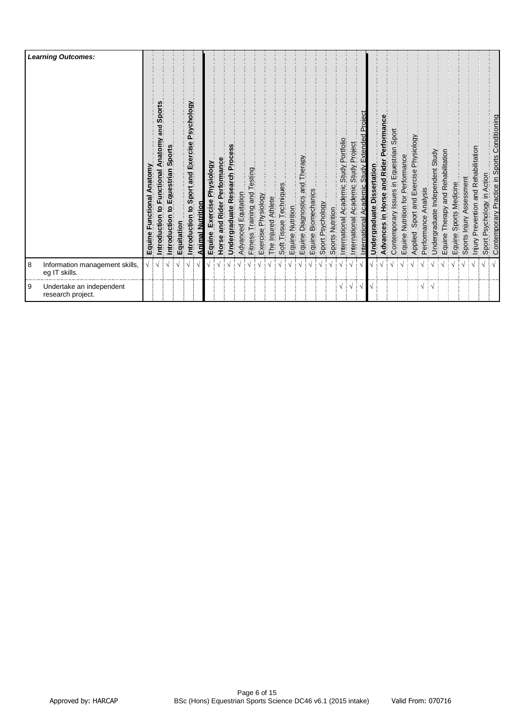|   | <b>Learning Outcomes:</b>                       | Anatomy<br>Functional<br>Equine | Sports<br>ត្ត<br>តូ<br>Anatomy<br>ntroduction to Functional | Sports<br>n to Equestrian<br>ntroductio | Equitation | Psychology<br>Introduction to Sport and Exercise | Animal Nutrition | Exercise Physiology<br>Equine | and Rider Performance<br>Horse | Undergraduate Research Process | Advanced Equitation | Testing<br>Training and<br>Fitness <sup>-</sup> | Exercise Physiology | The Injured Athlete | Techniques<br>Soft Tissue | Equine Nutrition | Equine Diagnostics and Therapy<br>Equine Diagnostics and Therapy | Equine Biomechanics | Sport Psychology | Sports Nutrition | International Academic Study Portfolio | Academic Study Project<br>International | <b>Academic Study Extended Project</b><br>nternational | ssertation<br>Undergraduate Di | Advances in Horse and Rider Performance | Contemporary Issues in Equestrian Sport | Equine Nutrition for Performance | Applied Sport and Exercise Physiology | Analysis<br>Performance | Undergraduate Independent Study | Therapy and Rehabilitation<br>Equine <sub>.</sub> | Sports Medicine<br>Equine | Sports Injury Assessment | Injury Prevention and Rehabilitation | Sport Psychology in Action | Contemporary Practice in Sports Conditioning |
|---|-------------------------------------------------|---------------------------------|-------------------------------------------------------------|-----------------------------------------|------------|--------------------------------------------------|------------------|-------------------------------|--------------------------------|--------------------------------|---------------------|-------------------------------------------------|---------------------|---------------------|---------------------------|------------------|------------------------------------------------------------------|---------------------|------------------|------------------|----------------------------------------|-----------------------------------------|--------------------------------------------------------|--------------------------------|-----------------------------------------|-----------------------------------------|----------------------------------|---------------------------------------|-------------------------|---------------------------------|---------------------------------------------------|---------------------------|--------------------------|--------------------------------------|----------------------------|----------------------------------------------|
| 8 | Information management skills,<br>eg IT skills. | V                               |                                                             |                                         |            | V                                                |                  |                               |                                |                                |                     |                                                 |                     |                     |                           |                  |                                                                  |                     |                  |                  |                                        |                                         |                                                        |                                |                                         |                                         |                                  |                                       |                         |                                 |                                                   |                           |                          |                                      |                            |                                              |
| 9 | Undertake an independent<br>research project.   |                                 |                                                             |                                         |            |                                                  |                  |                               |                                |                                |                     |                                                 |                     |                     |                           |                  |                                                                  |                     |                  |                  | $\sqrt{2}$                             |                                         | $\frac{1}{2}$                                          |                                |                                         |                                         |                                  |                                       | $\sqrt{4}$              |                                 |                                                   |                           |                          |                                      |                            |                                              |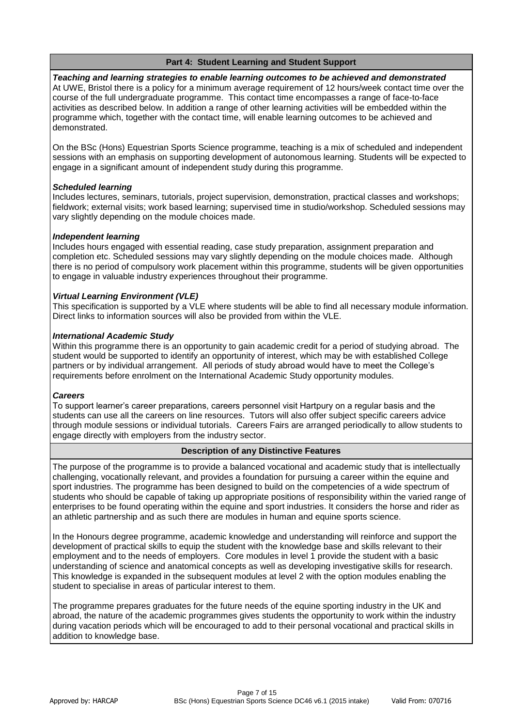# **Part 4: Student Learning and Student Support**

*Teaching and learning strategies to enable learning outcomes to be achieved and demonstrated* At UWE, Bristol there is a policy for a minimum average requirement of 12 hours/week contact time over the course of the full undergraduate programme. This contact time encompasses a range of face-to-face activities as described below. In addition a range of other learning activities will be embedded within the programme which, together with the contact time, will enable learning outcomes to be achieved and demonstrated.

On the BSc (Hons) Equestrian Sports Science programme, teaching is a mix of scheduled and independent sessions with an emphasis on supporting development of autonomous learning. Students will be expected to engage in a significant amount of independent study during this programme.

## *Scheduled learning*

Includes lectures, seminars, tutorials, project supervision, demonstration, practical classes and workshops; fieldwork; external visits; work based learning; supervised time in studio/workshop. Scheduled sessions may vary slightly depending on the module choices made.

## *Independent learning*

Includes hours engaged with essential reading, case study preparation, assignment preparation and completion etc. Scheduled sessions may vary slightly depending on the module choices made. Although there is no period of compulsory work placement within this programme, students will be given opportunities to engage in valuable industry experiences throughout their programme.

## *Virtual Learning Environment (VLE)*

This specification is supported by a VLE where students will be able to find all necessary module information. Direct links to information sources will also be provided from within the VLE.

## *International Academic Study*

Within this programme there is an opportunity to gain academic credit for a period of studying abroad. The student would be supported to identify an opportunity of interest, which may be with established College partners or by individual arrangement. All periods of study abroad would have to meet the College's requirements before enrolment on the International Academic Study opportunity modules.

#### *Careers*

To support learner's career preparations, careers personnel visit Hartpury on a regular basis and the students can use all the careers on line resources. Tutors will also offer subject specific careers advice through module sessions or individual tutorials. Careers Fairs are arranged periodically to allow students to engage directly with employers from the industry sector.

## **Description of any Distinctive Features**

The purpose of the programme is to provide a balanced vocational and academic study that is intellectually challenging, vocationally relevant, and provides a foundation for pursuing a career within the equine and sport industries. The programme has been designed to build on the competencies of a wide spectrum of students who should be capable of taking up appropriate positions of responsibility within the varied range of enterprises to be found operating within the equine and sport industries. It considers the horse and rider as an athletic partnership and as such there are modules in human and equine sports science.

In the Honours degree programme, academic knowledge and understanding will reinforce and support the development of practical skills to equip the student with the knowledge base and skills relevant to their employment and to the needs of employers. Core modules in level 1 provide the student with a basic understanding of science and anatomical concepts as well as developing investigative skills for research. This knowledge is expanded in the subsequent modules at level 2 with the option modules enabling the student to specialise in areas of particular interest to them.

The programme prepares graduates for the future needs of the equine sporting industry in the UK and abroad, the nature of the academic programmes gives students the opportunity to work within the industry during vacation periods which will be encouraged to add to their personal vocational and practical skills in addition to knowledge base.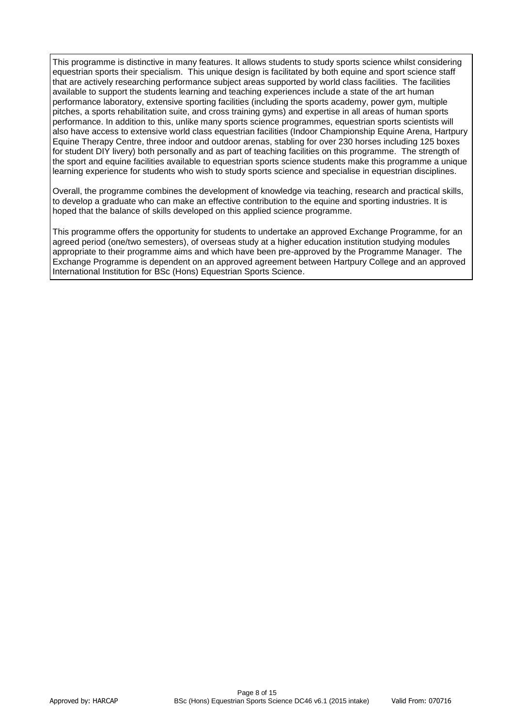This programme is distinctive in many features. It allows students to study sports science whilst considering equestrian sports their specialism. This unique design is facilitated by both equine and sport science staff that are actively researching performance subject areas supported by world class facilities. The facilities available to support the students learning and teaching experiences include a state of the art human performance laboratory, extensive sporting facilities (including the sports academy, power gym, multiple pitches, a sports rehabilitation suite, and cross training gyms) and expertise in all areas of human sports performance. In addition to this, unlike many sports science programmes, equestrian sports scientists will also have access to extensive world class equestrian facilities (Indoor Championship Equine Arena, Hartpury Equine Therapy Centre, three indoor and outdoor arenas, stabling for over 230 horses including 125 boxes for student DIY livery) both personally and as part of teaching facilities on this programme. The strength of the sport and equine facilities available to equestrian sports science students make this programme a unique learning experience for students who wish to study sports science and specialise in equestrian disciplines.

Overall, the programme combines the development of knowledge via teaching, research and practical skills, to develop a graduate who can make an effective contribution to the equine and sporting industries. It is hoped that the balance of skills developed on this applied science programme.

This programme offers the opportunity for students to undertake an approved Exchange Programme, for an agreed period (one/two semesters), of overseas study at a higher education institution studying modules appropriate to their programme aims and which have been pre-approved by the Programme Manager. The Exchange Programme is dependent on an approved agreement between Hartpury College and an approved International Institution for BSc (Hons) Equestrian Sports Science.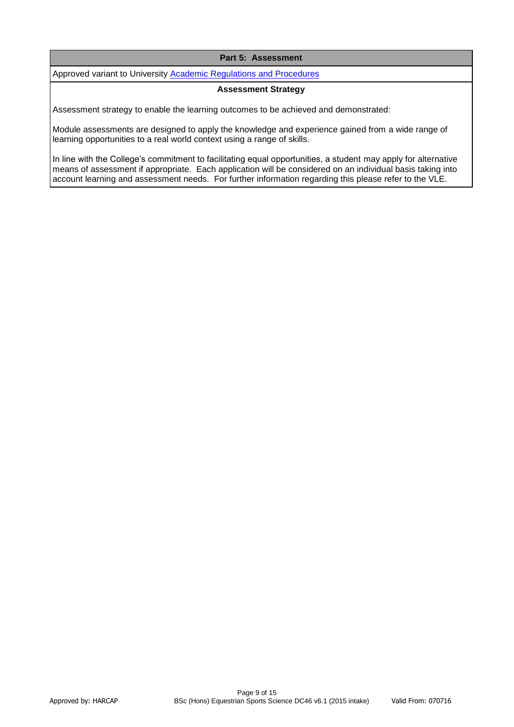## **Part 5: Assessment**

Approved variant to University **Academic Regulations and Procedures** 

#### **Assessment Strategy**

Assessment strategy to enable the learning outcomes to be achieved and demonstrated:

Module assessments are designed to apply the knowledge and experience gained from a wide range of learning opportunities to a real world context using a range of skills.

In line with the College's commitment to facilitating equal opportunities, a student may apply for alternative means of assessment if appropriate. Each application will be considered on an individual basis taking into account learning and assessment needs. For further information regarding this please refer to the VLE.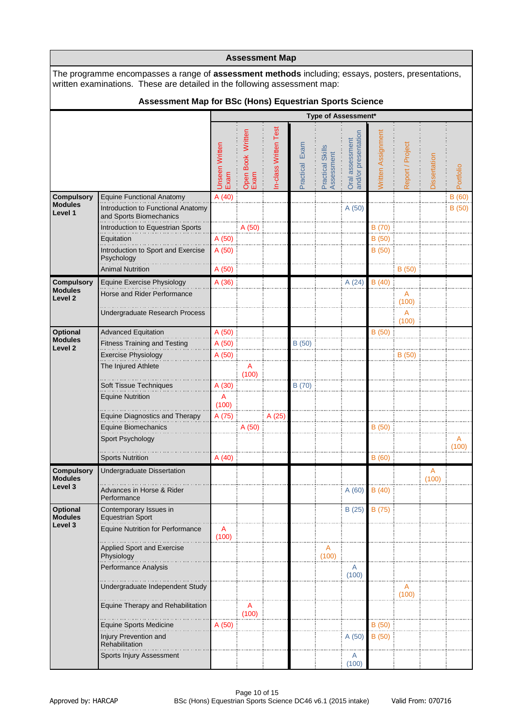|                                      |                                                                                                                                                                                        |                               |                           | <b>Assessment Map</b> |                |                                |                                        |                    |                  |              |            |
|--------------------------------------|----------------------------------------------------------------------------------------------------------------------------------------------------------------------------------------|-------------------------------|---------------------------|-----------------------|----------------|--------------------------------|----------------------------------------|--------------------|------------------|--------------|------------|
|                                      | The programme encompasses a range of <b>assessment methods</b> including; essays, posters, presentations,<br>written examinations. These are detailed in the following assessment map: |                               |                           |                       |                |                                |                                        |                    |                  |              |            |
|                                      | Assessment Map for BSc (Hons) Equestrian Sports Science                                                                                                                                |                               |                           |                       |                |                                |                                        |                    |                  |              |            |
|                                      |                                                                                                                                                                                        |                               |                           |                       |                |                                | Type of Assessment*                    |                    |                  |              |            |
|                                      |                                                                                                                                                                                        | <b>Unseen Written</b><br>Exam | Open Book Written<br>Exam | In-class Written Test | Practical Exam | Practical Skills<br>Assessment | Oral assessment<br>and/or presentation | Written Assignment | Report / Project | Dissertation | Portfolio  |
| <b>Compulsory</b>                    | <b>Equine Functional Anatomy</b>                                                                                                                                                       | A(40)                         |                           |                       |                |                                |                                        |                    |                  |              | B(60)      |
| <b>Modules</b><br>Level 1            | Introduction to Functional Anatomy<br>and Sports Biomechanics                                                                                                                          |                               |                           |                       |                |                                | A (50)                                 |                    |                  |              | B(50)      |
|                                      | Introduction to Equestrian Sports                                                                                                                                                      |                               | A (50)                    |                       |                |                                |                                        | B (70)             |                  |              |            |
|                                      | Equitation                                                                                                                                                                             | A (50)                        |                           |                       |                |                                |                                        | B (50)             |                  |              |            |
|                                      | Introduction to Sport and Exercise<br>Psychology                                                                                                                                       | A (50)                        |                           |                       |                |                                |                                        | B(50)              |                  |              |            |
|                                      | <b>Animal Nutrition</b>                                                                                                                                                                | A (50)                        |                           |                       |                |                                |                                        |                    | B(50)            |              |            |
| <b>Compulsory</b>                    | Equine Exercise Physiology                                                                                                                                                             | A (36)                        |                           |                       |                |                                | A(24)                                  | B(40)              |                  |              |            |
| <b>Modules</b><br>Level <sub>2</sub> | Horse and Rider Performance                                                                                                                                                            |                               |                           |                       |                |                                |                                        |                    | A<br>(100)       |              |            |
|                                      | Undergraduate Research Process                                                                                                                                                         |                               |                           |                       |                |                                |                                        |                    | A                |              |            |
|                                      |                                                                                                                                                                                        |                               |                           |                       |                |                                |                                        |                    | (100)            |              |            |
| <b>Optional</b><br><b>Modules</b>    | <b>Advanced Equitation</b>                                                                                                                                                             | A (50)                        |                           |                       |                |                                |                                        | B(50)              |                  |              |            |
| Level <sub>2</sub>                   | <b>Fitness Training and Testing</b><br>Exercise Physiology                                                                                                                             | A (50)<br>A (50)              |                           |                       | B(50)          |                                |                                        |                    | B(50)            |              |            |
|                                      | The Injured Athlete                                                                                                                                                                    |                               | A                         |                       |                |                                |                                        |                    |                  |              |            |
|                                      |                                                                                                                                                                                        |                               | (100)                     |                       |                |                                |                                        |                    |                  |              |            |
|                                      | Soft Tissue Techniques                                                                                                                                                                 | A(30)                         |                           |                       | B (70)         |                                |                                        |                    |                  |              |            |
|                                      | <b>Equine Nutrition</b>                                                                                                                                                                | A<br>(100)                    |                           |                       |                |                                |                                        |                    |                  |              |            |
|                                      | <b>Equine Diagnostics and Therapy</b>                                                                                                                                                  | A (75)                        |                           | A (25)                |                |                                |                                        |                    |                  |              |            |
|                                      | Equine Biomechanics                                                                                                                                                                    |                               | A (50)                    |                       |                |                                |                                        | B(50)              |                  |              |            |
|                                      | Sport Psychology                                                                                                                                                                       |                               |                           |                       |                |                                |                                        |                    |                  |              | A<br>(100) |
|                                      | <b>Sports Nutrition</b>                                                                                                                                                                | A(40)                         |                           |                       |                |                                |                                        | B(60)              |                  |              |            |
| <b>Compulsory</b><br><b>Modules</b>  | Undergraduate Dissertation                                                                                                                                                             |                               |                           |                       |                |                                |                                        |                    |                  | A<br>(100)   |            |
| Level 3                              | Advances in Horse & Rider<br>Performance                                                                                                                                               |                               |                           |                       |                |                                | A(60)                                  | B(40)              |                  |              |            |
| <b>Optional</b><br><b>Modules</b>    | Contemporary Issues in<br><b>Equestrian Sport</b>                                                                                                                                      |                               |                           |                       |                |                                | B(25)                                  | B (75)             |                  |              |            |
| Level 3                              | <b>Equine Nutrition for Performance</b>                                                                                                                                                | Α<br>(100)                    |                           |                       |                |                                |                                        |                    |                  |              |            |
|                                      | <b>Applied Sport and Exercise</b><br>Physiology                                                                                                                                        |                               |                           |                       |                | A<br>(100)                     |                                        |                    |                  |              |            |
|                                      | Performance Analysis                                                                                                                                                                   |                               |                           |                       |                |                                | A                                      |                    |                  |              |            |
|                                      |                                                                                                                                                                                        |                               |                           |                       |                |                                | (100)                                  |                    |                  |              |            |
|                                      | Undergraduate Independent Study                                                                                                                                                        |                               |                           |                       |                |                                |                                        |                    | A<br>(100)       |              |            |
|                                      | Equine Therapy and Rehabilitation                                                                                                                                                      |                               | A<br>(100)                |                       |                |                                |                                        |                    |                  |              |            |
|                                      | Equine Sports Medicine                                                                                                                                                                 | A(50)                         |                           |                       |                |                                |                                        | B(50)              |                  |              |            |
|                                      | Injury Prevention and<br>Rehabilitation                                                                                                                                                |                               |                           |                       |                |                                | A (50)                                 | B(50)              |                  |              |            |
|                                      | Sports Injury Assessment                                                                                                                                                               |                               |                           |                       |                |                                | A<br>(100)                             |                    |                  |              |            |

 $\mathbf{r}$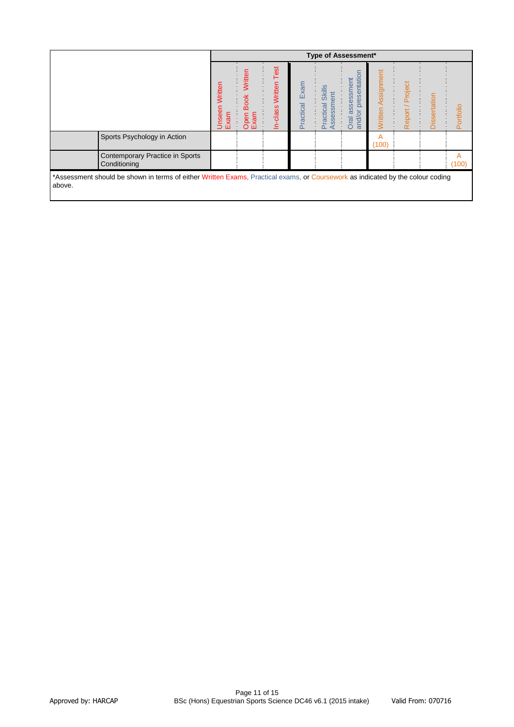|                                                                                                                                          |                        |                                        |                                |                   | <b>Type of Assessment*</b>                   |                                                              |                              |                     |              |            |
|------------------------------------------------------------------------------------------------------------------------------------------|------------------------|----------------------------------------|--------------------------------|-------------------|----------------------------------------------|--------------------------------------------------------------|------------------------------|---------------------|--------------|------------|
|                                                                                                                                          | Unseen Written<br>Exam | Written<br><b>Book</b><br>Open<br>Exam | Test<br>Written<br>-class<br>≘ | Exam<br>Practical | <b>Skills</b><br>ssessment<br>Practical<br>◀ | presentation<br>assessment<br>$\overline{5}$<br>Oral<br>and/ | Assignment<br><b>Nritten</b> | / Project<br>Report | Dissertation | Portfolio  |
| Sports Psychology in Action                                                                                                              |                        |                                        |                                |                   |                                              |                                                              | A<br>(100)                   |                     |              |            |
| Contemporary Practice in Sports<br>Conditioning                                                                                          |                        |                                        |                                |                   |                                              |                                                              |                              |                     |              | A<br>(100) |
| *Assessment should be shown in terms of either Written Exams, Practical exams, or Coursework as indicated by the colour coding<br>above. |                        |                                        |                                |                   |                                              |                                                              |                              |                     |              |            |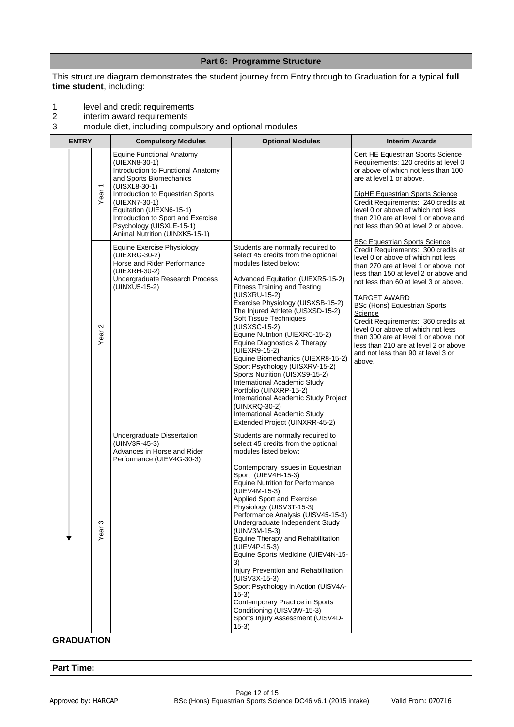|                          |                           |                                                                                                                                                                                                                                                                                                                           | Part 6: Programme Structure                                                                                                                                                                                                                                                                                                                                                                                                                                                                                                                                                                                                                                                                                  |                                                                                                                                                                                                                                                                                                                                                                                                                                                                                                                               |
|--------------------------|---------------------------|---------------------------------------------------------------------------------------------------------------------------------------------------------------------------------------------------------------------------------------------------------------------------------------------------------------------------|--------------------------------------------------------------------------------------------------------------------------------------------------------------------------------------------------------------------------------------------------------------------------------------------------------------------------------------------------------------------------------------------------------------------------------------------------------------------------------------------------------------------------------------------------------------------------------------------------------------------------------------------------------------------------------------------------------------|-------------------------------------------------------------------------------------------------------------------------------------------------------------------------------------------------------------------------------------------------------------------------------------------------------------------------------------------------------------------------------------------------------------------------------------------------------------------------------------------------------------------------------|
| time student, including: |                           |                                                                                                                                                                                                                                                                                                                           | This structure diagram demonstrates the student journey from Entry through to Graduation for a typical full                                                                                                                                                                                                                                                                                                                                                                                                                                                                                                                                                                                                  |                                                                                                                                                                                                                                                                                                                                                                                                                                                                                                                               |
| 1<br>2<br>3              |                           | level and credit requirements<br>interim award requirements<br>module diet, including compulsory and optional modules                                                                                                                                                                                                     |                                                                                                                                                                                                                                                                                                                                                                                                                                                                                                                                                                                                                                                                                                              |                                                                                                                                                                                                                                                                                                                                                                                                                                                                                                                               |
| <b>ENTRY</b>             |                           | <b>Compulsory Modules</b>                                                                                                                                                                                                                                                                                                 | <b>Optional Modules</b>                                                                                                                                                                                                                                                                                                                                                                                                                                                                                                                                                                                                                                                                                      | <b>Interim Awards</b>                                                                                                                                                                                                                                                                                                                                                                                                                                                                                                         |
|                          | Year <sub>1</sub>         | <b>Equine Functional Anatomy</b><br>(UIEXN8-30-1)<br>Introduction to Functional Anatomy<br>and Sports Biomechanics<br>(UISXL8-30-1)<br>Introduction to Equestrian Sports<br>(UIEXN7-30-1)<br>Equitation (UIEXN6-15-1)<br>Introduction to Sport and Exercise<br>Psychology (UISXLE-15-1)<br>Animal Nutrition (UINXK5-15-1) |                                                                                                                                                                                                                                                                                                                                                                                                                                                                                                                                                                                                                                                                                                              | Cert HE Equestrian Sports Science<br>Requirements: 120 credits at level 0<br>or above of which not less than 100<br>are at level 1 or above.<br><b>DipHE Equestrian Sports Science</b><br>Credit Requirements: 240 credits at<br>level 0 or above of which not less<br>than 210 are at level 1 or above and<br>not less than 90 at level 2 or above.                                                                                                                                                                          |
|                          | $\mathbf{\Omega}$<br>Year | Equine Exercise Physiology<br>(UIEXRG-30-2)<br>Horse and Rider Performance<br>(UIEXRH-30-2)<br>Undergraduate Research Process<br>(UINXU5-15-2)                                                                                                                                                                            | Students are normally required to<br>select 45 credits from the optional<br>modules listed below:<br>Advanced Equitation (UIEXR5-15-2)<br><b>Fitness Training and Testing</b><br>(UISXRU-15-2)<br>Exercise Physiology (UISXSB-15-2)<br>The Injured Athlete (UISXSD-15-2)<br>Soft Tissue Techniques<br>(UISXSC-15-2)<br>Equine Nutrition (UIEXRC-15-2)<br>Equine Diagnostics & Therapy<br>(UIEXR9-15-2)<br>Equine Biomechanics (UIEXR8-15-2)<br>Sport Psychology (UISXRV-15-2)<br>Sports Nutrition (UISXS9-15-2)<br>International Academic Study<br>Portfolio (UINXRP-15-2)<br>International Academic Study Project<br>(UINXRQ-30-2)<br>International Academic Study<br>Extended Project (UINXRR-45-2)        | <b>BSc Equestrian Sports Science</b><br>Credit Requirements: 300 credits at<br>level 0 or above of which not less<br>than 270 are at level 1 or above, not<br>less than 150 at level 2 or above and<br>not less than 60 at level 3 or above.<br><b>TARGET AWARD</b><br>BSc (Hons) Equestrian Sports<br>Science<br>Credit Requirements: 360 credits at<br>level 0 or above of which not less<br>than 300 are at level 1 or above, not<br>less than 210 are at level 2 or above<br>and not less than 90 at level 3 or<br>above. |
|                          | S<br>Year                 | Undergraduate Dissertation<br>(UINV3R-45-3)<br>Advances in Horse and Rider<br>Performance (UIEV4G-30-3)                                                                                                                                                                                                                   | Students are normally required to<br>select 45 credits from the optional<br>modules listed below:<br>Contemporary Issues in Equestrian<br>Sport (UIEV4H-15-3)<br><b>Equine Nutrition for Performance</b><br>(UIEV4M-15-3)<br>Applied Sport and Exercise<br>Physiology (UISV3T-15-3)<br>Performance Analysis (UISV45-15-3)<br>Undergraduate Independent Study<br>(UINV3M-15-3)<br>Equine Therapy and Rehabilitation<br>(UIEV4P-15-3)<br>Equine Sports Medicine (UIEV4N-15-<br>3)<br>Injury Prevention and Rehabilitation<br>(UISV3X-15-3)<br>Sport Psychology in Action (UISV4A-<br>$(15-3)$<br>Contemporary Practice in Sports<br>Conditioning (UISV3W-15-3)<br>Sports Injury Assessment (UISV4D-<br>$15-3)$ |                                                                                                                                                                                                                                                                                                                                                                                                                                                                                                                               |
| <b>GRADUATION</b>        |                           |                                                                                                                                                                                                                                                                                                                           |                                                                                                                                                                                                                                                                                                                                                                                                                                                                                                                                                                                                                                                                                                              |                                                                                                                                                                                                                                                                                                                                                                                                                                                                                                                               |

# **Part Time:**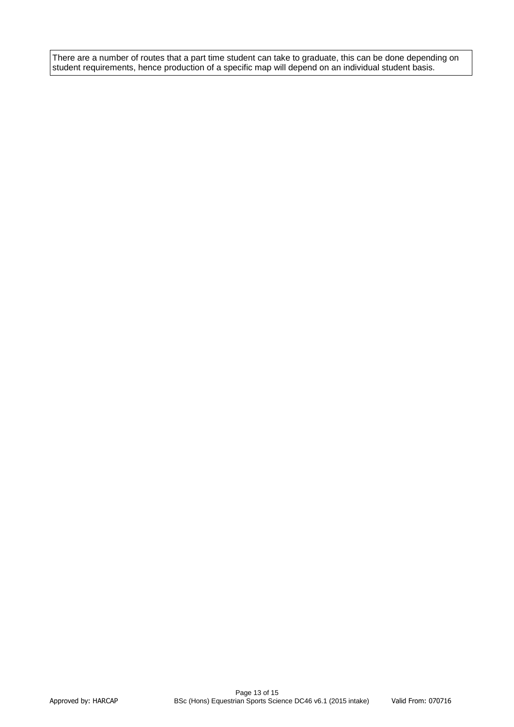There are a number of routes that a part time student can take to graduate, this can be done depending on student requirements, hence production of a specific map will depend on an individual student basis.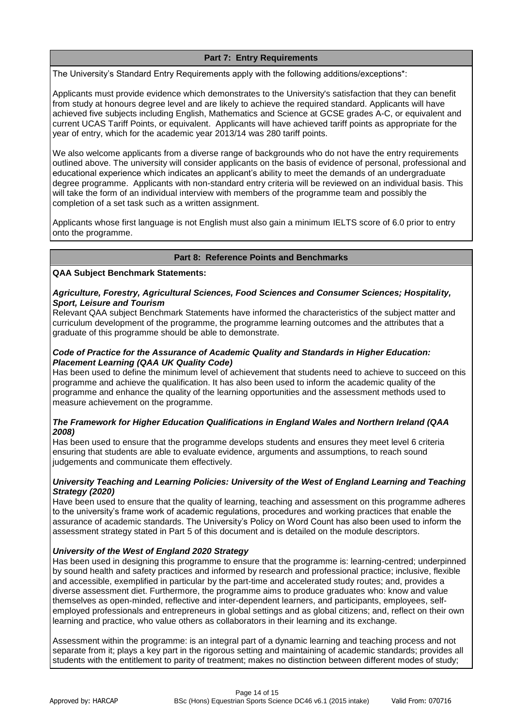# **Part 7: Entry Requirements**

The University's Standard Entry Requirements apply with the following additions/exceptions\*:

Applicants must provide evidence which demonstrates to the University's satisfaction that they can benefit from study at honours degree level and are likely to achieve the required standard. Applicants will have achieved five subjects including English, Mathematics and Science at GCSE grades A-C, or equivalent and current UCAS Tariff Points, or equivalent. Applicants will have achieved tariff points as appropriate for the year of entry, which for the academic year 2013/14 was 280 tariff points.

We also welcome applicants from a diverse range of backgrounds who do not have the entry requirements outlined above. The university will consider applicants on the basis of evidence of personal, professional and educational experience which indicates an applicant's ability to meet the demands of an undergraduate degree programme. Applicants with non-standard entry criteria will be reviewed on an individual basis. This will take the form of an individual interview with members of the programme team and possibly the completion of a set task such as a written assignment.

Applicants whose first language is not English must also gain a minimum IELTS score of 6.0 prior to entry onto the programme.

## **Part 8: Reference Points and Benchmarks**

**QAA Subject Benchmark Statements:**

#### *Agriculture, Forestry, Agricultural Sciences, Food Sciences and Consumer Sciences; Hospitality, Sport, Leisure and Tourism*

Relevant QAA subject Benchmark Statements have informed the characteristics of the subject matter and curriculum development of the programme, the programme learning outcomes and the attributes that a graduate of this programme should be able to demonstrate.

## *Code of Practice for the Assurance of Academic Quality and Standards in Higher Education: Placement Learning (QAA UK Quality Code)*

Has been used to define the minimum level of achievement that students need to achieve to succeed on this programme and achieve the qualification. It has also been used to inform the academic quality of the programme and enhance the quality of the learning opportunities and the assessment methods used to measure achievement on the programme.

## *The Framework for Higher Education Qualifications in England Wales and Northern Ireland (QAA 2008)*

Has been used to ensure that the programme develops students and ensures they meet level 6 criteria ensuring that students are able to evaluate evidence, arguments and assumptions, to reach sound judgements and communicate them effectively.

## *University Teaching and Learning Policies: University of the West of England Learning and Teaching Strategy (2020)*

Have been used to ensure that the quality of learning, teaching and assessment on this programme adheres to the university's frame work of academic regulations, procedures and working practices that enable the assurance of academic standards. The University's Policy on Word Count has also been used to inform the assessment strategy stated in Part 5 of this document and is detailed on the module descriptors.

## *University of the West of England 2020 Strategy*

Has been used in designing this programme to ensure that the programme is: learning-centred; underpinned by sound health and safety practices and informed by research and professional practice; inclusive, flexible and accessible, exemplified in particular by the part-time and accelerated study routes; and, provides a diverse assessment diet. Furthermore, the programme aims to produce graduates who: know and value themselves as open-minded, reflective and inter-dependent learners, and participants, employees, selfemployed professionals and entrepreneurs in global settings and as global citizens; and, reflect on their own learning and practice, who value others as collaborators in their learning and its exchange.

Assessment within the programme: is an integral part of a dynamic learning and teaching process and not separate from it; plays a key part in the rigorous setting and maintaining of academic standards; provides all students with the entitlement to parity of treatment; makes no distinction between different modes of study;